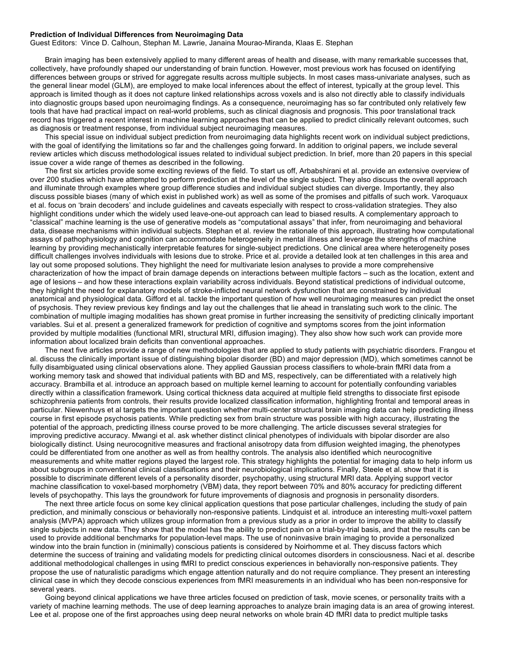## **Prediction of Individual Differences from Neuroimaging Data**

Guest Editors: Vince D. Calhoun, Stephan M. Lawrie, Janaina Mourao-Miranda, Klaas E. Stephan

Brain imaging has been extensively applied to many different areas of health and disease, with many remarkable successes that, collectively, have profoundly shaped our understanding of brain function. However, most previous work has focused on identifying differences between groups or strived for aggregate results across multiple subjects. In most cases mass-univariate analyses, such as the general linear model (GLM), are employed to make local inferences about the effect of interest, typically at the group level. This approach is limited though as it does not capture linked relationships across voxels and is also not directly able to classify individuals into diagnostic groups based upon neuroimaging findings. As a consequence, neuroimaging has so far contributed only relatively few tools that have had practical impact on real-world problems, such as clinical diagnosis and prognosis. This poor translational track record has triggered a recent interest in machine learning approaches that can be applied to predict clinically relevant outcomes, such as diagnosis or treatment response, from individual subject neuroimaging measures.

This special issue on individual subject prediction from neuroimaging data highlights recent work on individual subject predictions, with the goal of identifying the limitations so far and the challenges going forward. In addition to original papers, we include several review articles which discuss methodological issues related to individual subject prediction. In brief, more than 20 papers in this special issue cover a wide range of themes as described in the following.

The first six articles provide some exciting reviews of the field. To start us off, Arbabshirani et al. provide an extensive overview of over 200 studies which have attempted to perform prediction at the level of the single subject. They also discuss the overall approach and illuminate through examples where group difference studies and individual subject studies can diverge. Importantly, they also discuss possible biases (many of which exist in published work) as well as some of the promises and pitfalls of such work. Varoquaux et al. focus on 'brain decoders' and include guidelines and caveats especially with respect to cross-validation strategies. They also highlight conditions under which the widely used leave-one-out approach can lead to biased results. A complementary approach to "classical" machine learning is the use of generative models as "computational assays" that infer, from neuroimaging and behavioral data, disease mechanisms within individual subjects. Stephan et al. review the rationale of this approach, illustrating how computational assays of pathophysiology and cognition can accommodate heterogeneity in mental illness and leverage the strengths of machine learning by providing mechanistically interpretable features for single-subject predictions. One clinical area where heterogeneity poses difficult challenges involves individuals with lesions due to stroke. Price et al. provide a detailed look at ten challenges in this area and lay out some proposed solutions. They highlight the need for multivariate lesion analyses to provide a more comprehensive characterization of how the impact of brain damage depends on interactions between multiple factors – such as the location, extent and age of lesions – and how these interactions explain variability across individuals. Beyond statistical predictions of individual outcome, they highlight the need for explanatory models of stroke-inflicted neural network dysfunction that are constrained by individual anatomical and physiological data. Gifford et al. tackle the important question of how well neuroimaging measures can predict the onset of psychosis. They review previous key findings and lay out the challenges that lie ahead in translating such work to the clinic. The combination of multiple imaging modalities has shown great promise in further increasing the sensitivity of predicting clinically important variables. Sui et al. present a generalized framework for prediction of cognitive and symptoms scores from the joint information provided by multiple modalities (functional MRI, structural MRI, diffusion imaging). They also show how such work can provide more information about localized brain deficits than conventional approaches.

The next five articles provide a range of new methodologies that are applied to study patients with psychiatric disorders. Frangou et al. discuss the clinically important issue of distinguishing bipolar disorder (BD) and major depression (MD), which sometimes cannot be fully disambiguated using clinical observations alone. They applied Gaussian process classifiers to whole-brain fMRI data from a working memory task and showed that individual patients with BD and MS, respectively, can be differentiated with a relatively high accuracy. Brambilla et al. introduce an approach based on multiple kernel learning to account for potentially confounding variables directly within a classification framework. Using cortical thickness data acquired at multiple field strengths to dissociate first episode schizophrenia patients from controls, their results provide localized classification information, highlighting frontal and temporal areas in particular. Niewenhuys et al targets the important question whether multi-center structural brain imaging data can help predicting illness course in first episode psychosis patients. While predicting sex from brain structure was possible with high accuracy, illustrating the potential of the approach, predicting illness course proved to be more challenging. The article discusses several strategies for improving predictive accuracy. Mwangi et al. ask whether distinct clinical phenotypes of individuals with bipolar disorder are also biologically distinct. Using neurocognitive measures and fractional anisotropy data from diffusion weighted imaging, the phenotypes could be differentiated from one another as well as from healthy controls. The analysis also identified which neurocognitive measurements and white matter regions played the largest role. This strategy highlights the potential for imaging data to help inform us about subgroups in conventional clinical classifications and their neurobiological implications. Finally, Steele et al. show that it is possible to discriminate different levels of a personality disorder, psychopathy, using structural MRI data. Applying support vector machine classification to voxel-based morphometry (VBM) data, they report between 70% and 80% accuracy for predicting different levels of psychopathy. This lays the groundwork for future improvements of diagnosis and prognosis in personality disorders.

The next three article focus on some key clinical application questions that pose particular challenges, including the study of pain prediction, and minimally conscious or behaviorally non-responsive patients. Lindquist et al. introduce an interesting multi-voxel pattern analysis (MVPA) approach which utilizes group information from a previous study as a prior in order to improve the ability to classify single subjects in new data. They show that the model has the ability to predict pain on a trial-by-trial basis, and that the results can be used to provide additional benchmarks for population-level maps. The use of noninvasive brain imaging to provide a personalized window into the brain function in (minimally) conscious patients is considered by Noirhomme et al. They discuss factors which determine the success of training and validating models for predicting clinical outcomes disorders in consciousness. Naci et al. describe additional methodological challenges in using fMRI to predict conscious experiences in behaviorally non-responsive patients. They propose the use of naturalistic paradigms which engage attention naturally and do not require compliance. They present an interesting clinical case in which they decode conscious experiences from fMRI measurements in an individual who has been non-responsive for several years.

Going beyond clinical applications we have three articles focused on prediction of task, movie scenes, or personality traits with a variety of machine learning methods. The use of deep learning approaches to analyze brain imaging data is an area of growing interest. Lee et al. propose one of the first approaches using deep neural networks on whole brain 4D fMRI data to predict multiple tasks